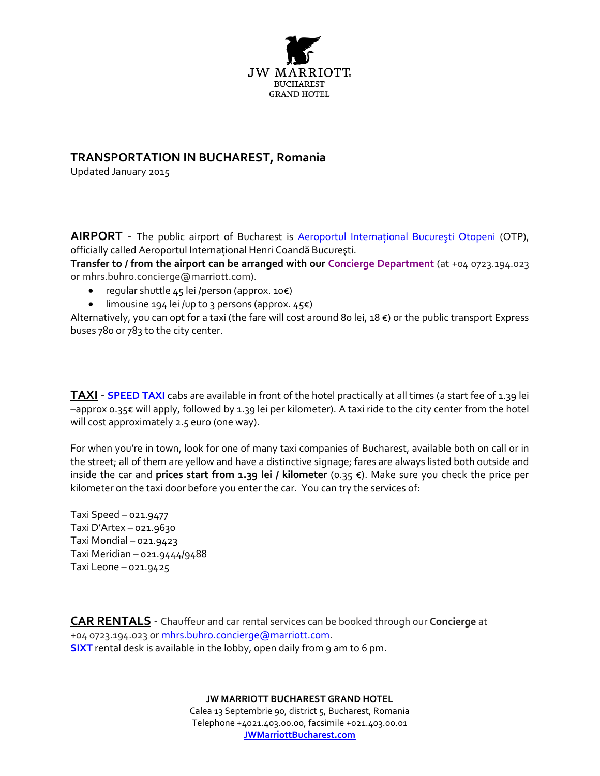

## **TRANSPORTATION IN BUCHAREST, Romania**

Updated January 2015

**AIRPORT** - The public airport of Bucharest is **Aeroportul International București Otopeni** (OTP), officially called Aeroportul International Henri Coandă București.

**Transfer to / from the airport can be arranged with ou[r Concierge Department](mailto:mhrs.buhro.concierge@marriott.com)** (at +04 0723.194.023 or mhrs.buhro.concierge@marriott.com).

- regular shuttle 45 lei /person (approx. 10€)
- limousine 194 lei /up to 3 persons (approx.  $45€$ )

Alternatively, you can opt for a taxi (the fare will cost around 80 lei, 18 €) or the public transport Express buses 780 or 783 to the city center.

**TAXI** - **[SPEED TAXI](http://www.speedtaxi.ro/)** cabs are available in front of the hotel practically at all times (a start fee of 1.39 lei –approx 0.35€ will apply, followed by 1.39 lei per kilometer). A taxi ride to the city center from the hotel will cost approximately 2.5 euro (one way).

For when you're in town, look for one of many taxi companies of Bucharest, available both on call or in the street; all of them are yellow and have a distinctive signage; fares are always listed both outside and inside the car and **prices start from 1.39 lei / kilometer** (0.35 €). Make sure you check the price per kilometer on the taxi door before you enter the car. You can try the services of:

Taxi Speed – 021.9477 Taxi D'Artex – 021.9630 Taxi Mondial – 021.9423 Taxi Meridian – 021.9444/9488 Taxi Leone – 021.9425

**CAR RENTALS** - Chauffeur and car rental services can be booked through our **Concierge** at +04 0723.194.023 o[r mhrs.buhro.concierge@marriott.com.](mailto:mhrs.buhro.concierge@marriott.com) **[SIXT](http://ro.sixt.com/php/reservation?language=ro_RO)** rental desk is available in the lobby, open daily from 9 am to 6 pm.

**JW MARRIOTT BUCHAREST GRAND HOTEL**

Calea 13 Septembrie 90, district 5, Bucharest, Romania Telephone +4021.403.00.00, facsimile +021.403.00.01 **[JWMarriottBucharest.com](http://www.marriott.com/buhro)**